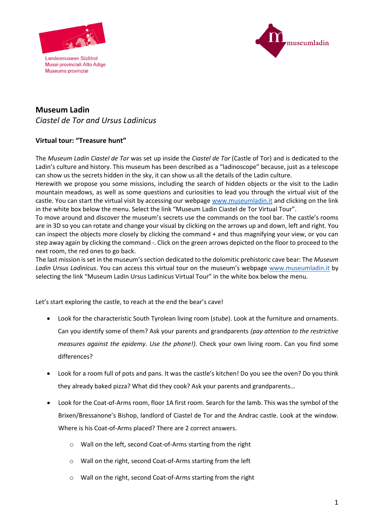

Museums provinziai



## **Museum Ladin**  *Ciastel de Tor and Ursus Ladinicus*

## **Virtual tour: "Treasure hunt"**

The *Museum Ladin Ciastel de Tor* was set up inside the *Ciastel de Tor* (Castle of Tor) and is dedicated to the Ladin's culture and history. This museum has been described as a "ladinoscope" because, just as a telescope can show us the secrets hidden in the sky, it can show us all the details of the Ladin culture.

Herewith we propose you some missions, including the search of hidden objects or the visit to the Ladin mountain meadows, as well as some questions and curiosities to lead you through the virtual visit of the castle. You can start the virtual visit by accessing our webpage [www.museumladin.it](http://www.museumladin.it/) and clicking on the link in the white box below the menu. Select the link "Museum Ladin Ciastel de Tor Virtual Tour".

To move around and discover the museum's secrets use the commands on the tool bar. The castle's rooms are in 3D so you can rotate and change your visual by clicking on the arrows up and down, left and right. You can inspect the objects more closely by clicking the command + and thus magnifying your view, or you can step away again by clicking the command -. Click on the green arrows depicted on the floor to proceed to the next room, the red ones to go back.

The last mission is set in the museum's section dedicated to the dolomitic prehistoric cave bear: The *Museum Ladin Ursus Ladinicus*. You can access this virtual tour on the museum's webpage [www.museumladin.it](http://www.museumladin.it/) by selecting the link "Museum Ladin Ursus Ladinicus Virtual Tour" in the white box below the menu.

Let's start exploring the castle, to reach at the end the bear's cave!

- Look for the characteristic South Tyrolean living room (*stube*). Look at the furniture and ornaments. Can you identify some of them? Ask your parents and grandparents *(pay attention to the restrictive measures against the epidemy. Use the phone!)*. Check your own living room. Can you find some differences?
- Look for a room full of pots and pans. It was the castle's kitchen! Do you see the oven? Do you think they already baked pizza? What did they cook? Ask your parents and grandparents…
- Look for the Coat-of-Arms room, floor 1A first room. Search for the lamb. This was the symbol of the Brixen/Bressanone's Bishop, landlord of Ciastel de Tor and the Andrac castle. Look at the window. Where is his Coat-of-Arms placed? There are 2 correct answers.
	- o Wall on the left, second Coat-of-Arms starting from the right
	- o Wall on the right, second Coat-of-Arms starting from the left
	- o Wall on the right, second Coat-of-Arms starting from the right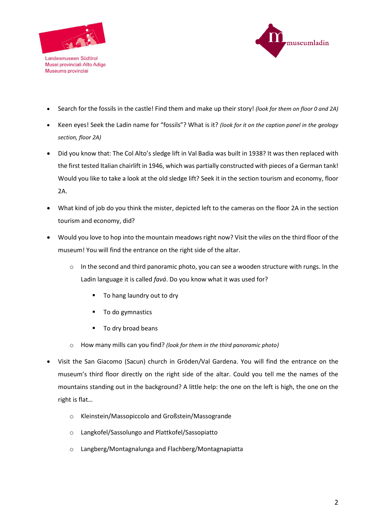

Museums provinziai



- Search for the fossils in the castle! Find them and make up their story! *(look for them on floor 0 and 2A)*
- Keen eyes! Seek the Ladin name for "fossils"? What is it? *(look for it on the caption panel in the geology section, floor 2A)*
- Did you know that: The Col Alto's sledge lift in Val Badia was built in 1938? It was then replaced with the first tested Italian chairlift in 1946, which was partially constructed with pieces of a German tank! Would you like to take a look at the old sledge lift? Seek it in the section tourism and economy, floor 2A.
- What kind of job do you think the mister, depicted left to the cameras on the floor 2A in the section tourism and economy, did?
- Would you love to hop into the mountain meadows right now? Visit the *viles* on the third floor of the museum! You will find the entrance on the right side of the altar.
	- $\circ$  In the second and third panoramic photo, you can see a wooden structure with rungs. In the Ladin language it is called *favá*. Do you know what it was used for?
		- **To hang laundry out to dry**
		- **To do gymnastics**
		- To dry broad beans
	- o How many mills can you find? *(look for them in the third panoramic photo)*
- Visit the San Giacomo (Sacun) church in Gröden/Val Gardena. You will find the entrance on the museum's third floor directly on the right side of the altar. Could you tell me the names of the mountains standing out in the background? A little help: the one on the left is high, the one on the right is flat…
	- o Kleinstein/Massopiccolo and Großstein/Massogrande
	- o Langkofel/Sassolungo and Plattkofel/Sassopiatto
	- o Langberg/Montagnalunga and Flachberg/Montagnapiatta